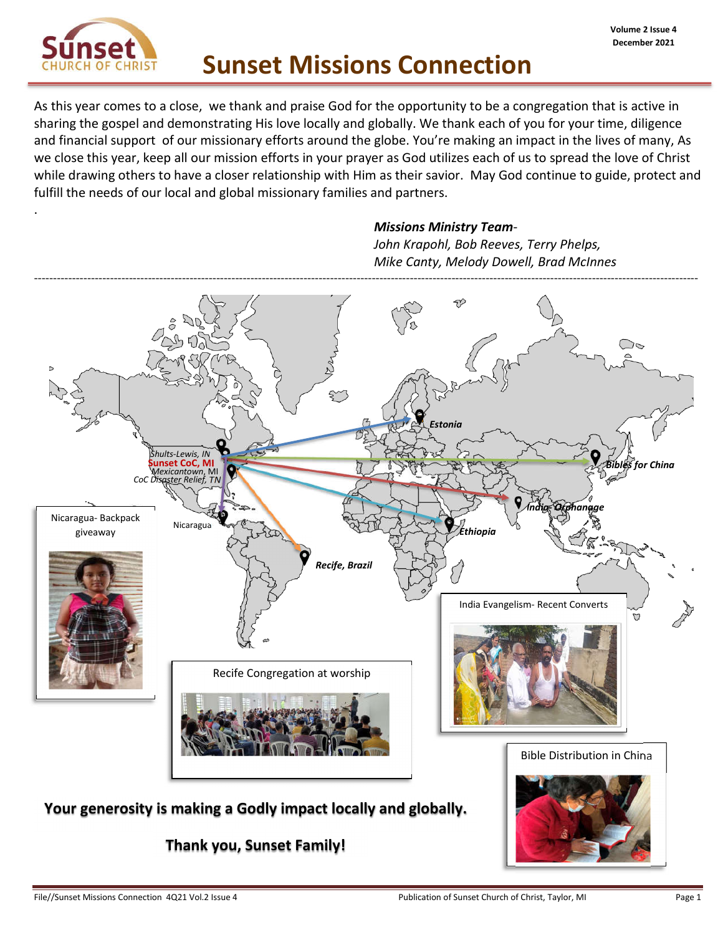

.

As this year comes to a close, we thank and praise God for the opportunity to be a congregation that is active in sharing the gospel and demonstrating His love locally and globally. We thank each of you for your time, diligence and financial support of our missionary efforts around the globe. You're making an impact in the lives of many, As we close this year, keep all our mission efforts in your prayer as God utilizes each of us to spread the love of Christ while drawing others to have a closer relationship with Him as their savior. May God continue to guide, protect and fulfill the needs of our local and global missionary families and partners.

#### *Missions Ministry Team-*

*John Krapohl, Bob Reeves, Terry Phelps, Mike Canty, Melody Dowell, Brad McInnes*